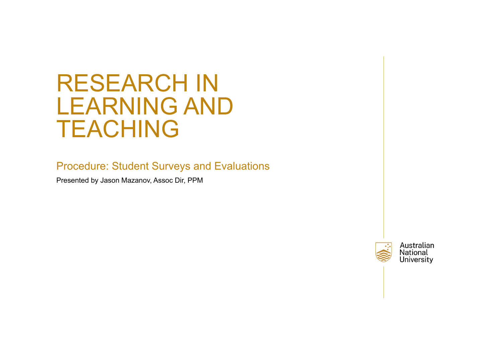# RESEARCH IN LEARNING AND TEACHING

Procedure: Student Surveys and Evaluations

Presented by Jason Mazanov, Assoc Dir, PPM

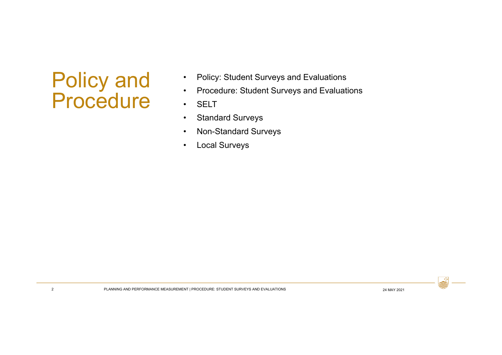# Policy and Procedure

- •Policy: Student Surveys and Evaluations
- •Procedure: Student Surveys and Evaluations
- •**SELT**
- •Standard Surveys
- •Non-Standard Surveys
- •Local Surveys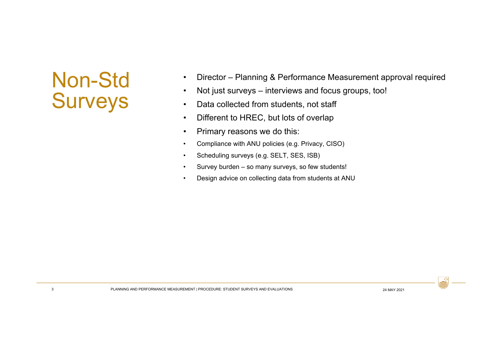# Non-Std Surveys

- •Director – Planning & Performance Measurement approval required
- •Not just surveys – interviews and focus groups, too!
- •Data collected from students, not staff
- •Different to HREC, but lots of overlap
- •Primary reasons we do this:
- •Compliance with ANU policies (e.g. Privacy, CISO)
- •Scheduling surveys (e.g. SELT, SES, ISB)
- •Survey burden – so many surveys, so few students!
- •Design advice on collecting data from students at ANU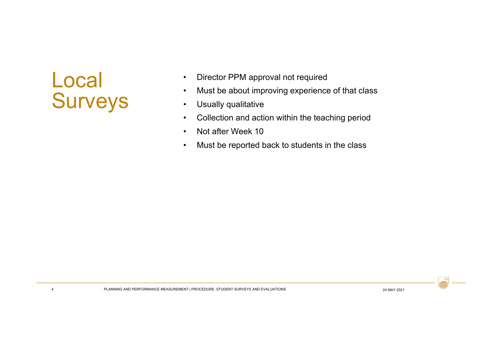# Local Surveys

4

- •Director PPM approval not required
- •Must be about improving experience of that class
- •Usually qualitative
- $\bullet$ Collection and action within the teaching period
- •Not after Week 10
- •Must be reported back to students in the class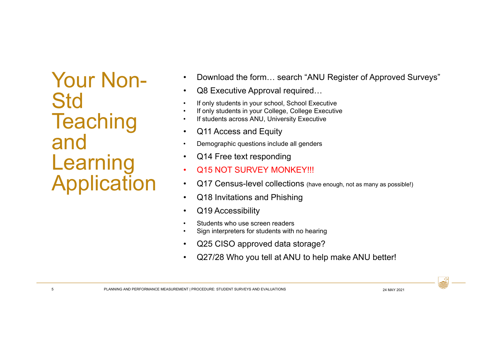Your Non-**Std Teaching** and Learning Application

- •Download the form… search "ANU Register of Approved Surveys"
- •Q8 Executive Approval required…
- •If only students in your school, School Executive
- •If only students in your College, College Executive
- •If students across ANU, University Executive
- •Q11 Access and Equity
- •Demographic questions include all genders
- •Q14 Free text responding
- •Q15 NOT SURVEY MONKEY!!!
- •Q17 Census-level collections (have enough, not as many as possible!)
- •Q18 Invitations and Phishing
- •Q19 Accessibility
- •Students who use screen readers
- •Sign interpreters for students with no hearing
- •Q25 CISO approved data storage?
- •Q27/28 Who you tell at ANU to help make ANU better!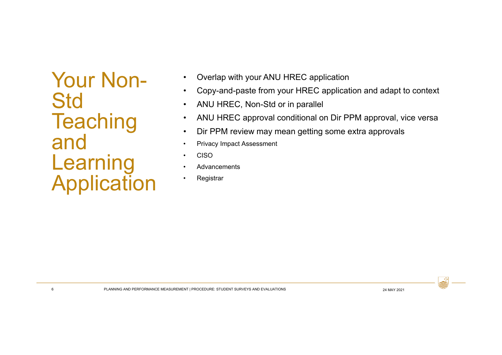Your Non-**Std Teaching** and Learning Application

- •Overlap with your ANU HREC application
- •Copy-and-paste from your HREC application and adapt to context
- •ANU HREC, Non-Std or in parallel
- •ANU HREC approval conditional on Dir PPM approval, vice versa
- •Dir PPM review may mean getting some extra approvals
- •Privacy Impact Assessment
- •CISO
- •**Advancements**
- •**Registrar**

6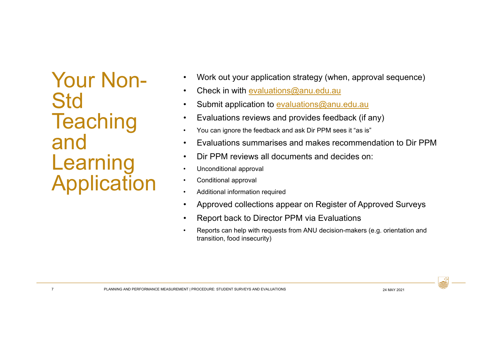Your Non-**Std Teaching** and Learning Application

- •Work out your application strategy (when, approval sequence)
- •Check in with evaluations@anu.edu.au
- •Submit application to evaluations@anu.edu.au
- $\bullet$ Evaluations reviews and provides feedback (if any)
- •You can ignore the feedback and ask Dir PPM sees it "as is"
- •Evaluations summarises and makes recommendation to Dir PPM
- •Dir PPM reviews all documents and decides on:
- •Unconditional approval
- •Conditional approval
- •Additional information required
- •Approved collections appear on Register of Approved Surveys
- •Report back to Director PPM via Evaluations
- • Reports can help with requests from ANU decision-makers (e.g. orientation and transition, food insecurity)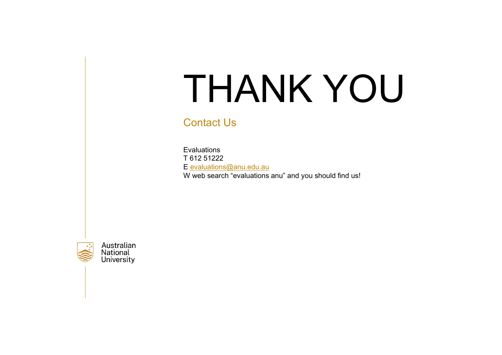# THANK YOU

### Contact Us

EvaluationsT 612 51222E evaluations@anu.edu.au W web search "evaluations anu" and you should find us!



Australian National **University**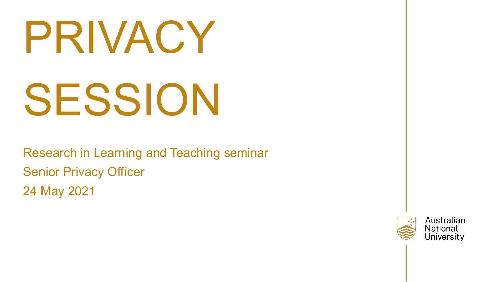# PRIVACY SESSION

Research in Learning and Teaching seminar Senior Privacy Officer 24 May 2021

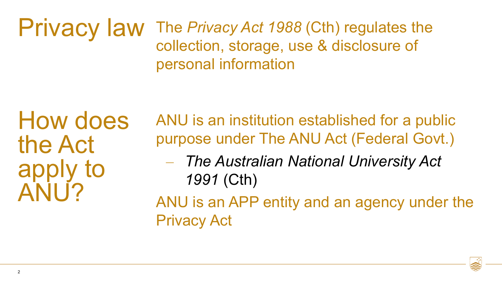The *Privacy Act 1988* (Cth) regulates the collection, storage, use & disclosure of personal information Privacy law

How does the Act apply to ANU?

ANU is an institution established for a public purpose under The ANU Act (Federal Govt.)

- *The Australian National University Act 1991* (Cth)
- ANU is an APP entity and an agency under the Privacy Act

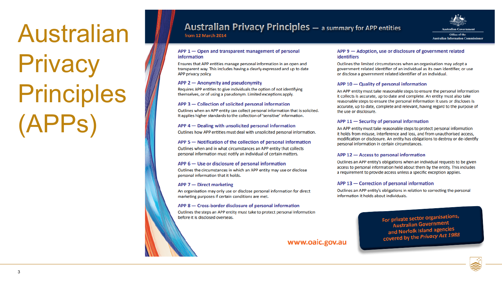# Australian **Privacy** Principles (APPs)

### **Australian Privacy Principles** - a summary for APP entities

from 12 March 2014



#### APP 1 - Open and transparent management of personal information

Ensures that APP entities manage personal information in an open and transparent way. This includes having a clearly expressed and up to date APP privacy policy.

#### APP 2 - Anonymity and pseudonymity

Requires APP entities to give individuals the option of not identifying themselves, or of using a pseudonym. Limited exceptions apply.

#### APP 3 – Collection of solicited personal information

Outlines when an APP entity can collect personal information that is solicited. It applies higher standards to the collection of 'sensitive' information.

#### APP 4 – Dealing with unsolicited personal information

Outlines how APP entities must deal with unsolicited personal information.

#### APP 5 - Notification of the collection of personal information

Outlines when and in what circumstances an APP entity that collects personal information must notify an individual of certain matters.

#### APP 6 - Use or disclosure of personal information

Outlines the circumstances in which an APP entity may use or disclose personal information that it holds.

### APP 7 - Direct marketing

An organisation may only use or disclose personal information for direct marketing purposes if certain conditions are met.

#### APP 8 - Cross-border disclosure of personal information

Outlines the steps an APP entity must take to protect personal information before it is disclosed overseas.

#### APP 9 - Adoption, use or disclosure of government related **identifiers**

Outlines the limited circumstances when an organisation may adopt a government related identifier of an individual as its own identifier, or use or disclose a government related identifier of an individual.

#### APP 10 - Quality of personal information

An APP entity must take reasonable steps to ensure the personal information it collects is accurate, up to date and complete. An entity must also take reasonable steps to ensure the personal information it uses or discloses is accurate, up to date, complete and relevant, having regard to the purpose of the use or disclosure.

#### APP 11 - Security of personal information

An APP entity must take reasonable steps to protect personal information it holds from misuse, interference and loss, and from unauthorised access, modification or disclosure. An entity has obligations to destroy or de-identify personal information in certain circumstances.

#### APP 12 - Access to personal information

Outlines an APP entity's obligations when an individual requests to be given access to personal information held about them by the entity. This includes a requirement to provide access unless a specific exception applies.

#### APP 13 - Correction of personal information

Outlines an APP entity's obligations in relation to correcting the personal information it holds about individuals.

> For private sector organisations, Australian Government and Norfolk Island agencies covered by the Privacy Act 1988

### www.oaic.gov.au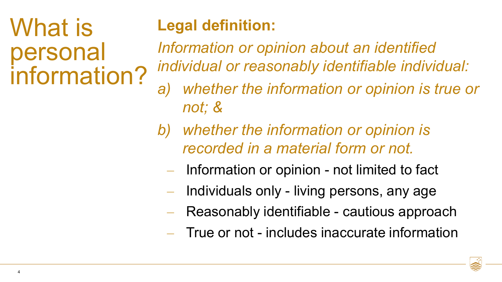# What is personal information?

### **Legal definition:**

*Information or opinion about an identified individual or reasonably identifiable individual:*

- *a) whether the information or opinion is true or not; &*
- *b) whether the information or opinion is recorded in a material form or not.*
	- Information or opinion not limited to fact
	- Individuals only living persons, any age
	- Reasonably identifiable cautious approach
	- True or not includes inaccurate information

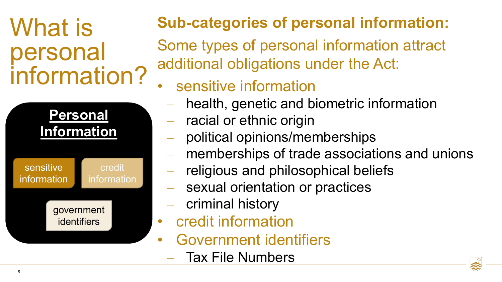# What is personal information?



### **Sub-categories of personal information:**

Some types of personal information attract additional obligations under the Act:

- sensitive information
	- health, genetic and biometric information
	- racial or ethnic origin
- political opinions/memberships
- memberships of trade associations and unions
- religious and philosophical beliefs
- sexual orientation or practices
- criminal history
- credit information
- Government identifiers
	- Tax File Numbers

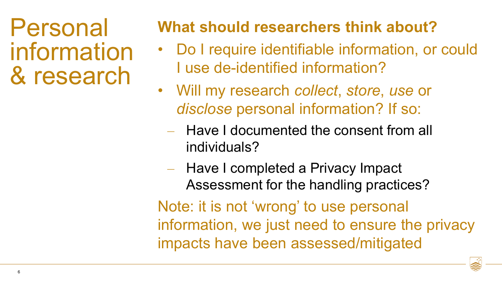Personal information & research

### **What should researchers think about?**

- Do I require identifiable information, or could I use de-identified information?
- Will my research *collect*, *store*, *use* or *disclose* personal information? If so:
	- Have I documented the consent from all individuals?
	- Have I completed a Privacy Impact Assessment for the handling practices?

Note: it is not 'wrong' to use personal information, we just need to ensure the privacy impacts have been assessed/mitigated

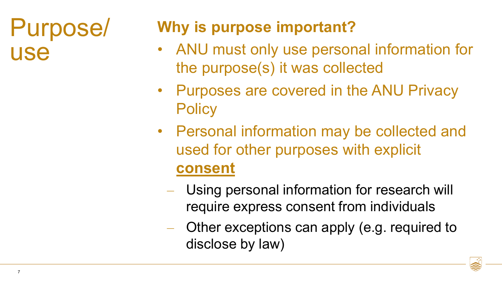## Purpose/ use

### **Why is purpose important?**

- ANU must only use personal information for the purpose(s) it was collected
- Purposes are covered in the ANU Privacy **Policy**
- Personal information may be collected and used for other purposes with explicit **consent**
	- Using personal information for research will require express consent from individuals
	- Other exceptions can apply (e.g. required to disclose by law)

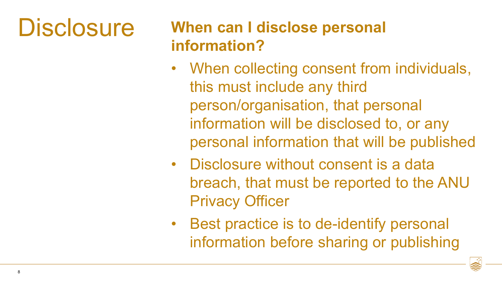# **Disclosure**

### **When can I disclose personal information?**

- When collecting consent from individuals, this must include any third person/organisation, that personal information will be disclosed to, or any personal information that will be published
- Disclosure without consent is a data breach, that must be reported to the ANU Privacy Officer
- Best practice is to de-identify personal information before sharing or publishing

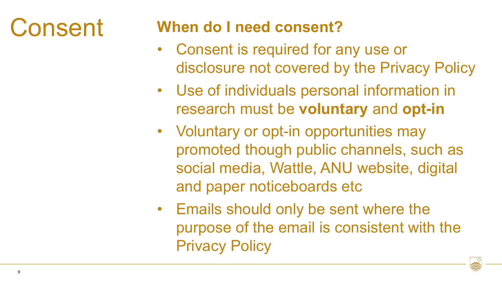# Consent

### **When do I need consent?**

- Consent is required for any use or disclosure not covered by the Privacy Policy
- Use of individuals personal information in research must be **voluntary** and **opt-in**
- Voluntary or opt-in opportunities may promoted though public channels, such as social media, Wattle, ANU website, digital and paper noticeboards etc
- Emails should only be sent where the purpose of the email is consistent with the Privacy Policy

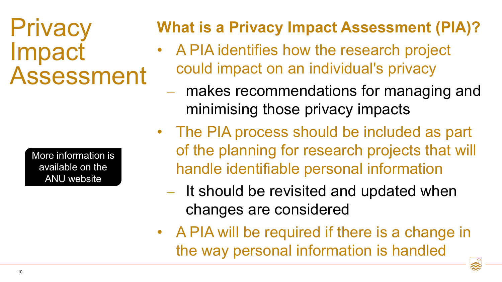## **Privacy** Impact Assessment

[More information is](https://www.anu.edu.au/privacy/privacy-impact-assessments)  available on the ANU website

### **What is a Privacy Impact Assessment (PIA)?**

- A PIA identifies how the research project could impact on an individual's privacy
	- makes recommendations for managing and minimising those privacy impacts
- The PIA process should be included as part of the planning for research projects that will handle identifiable personal information
	- It should be revisited and updated when changes are considered
- A PIA will be required if there is a change in the way personal information is handled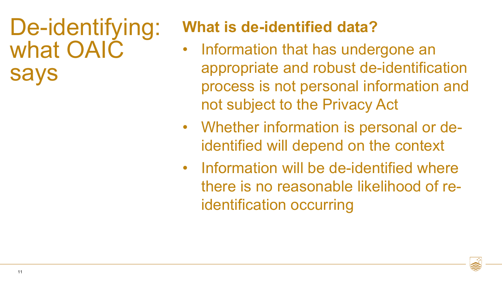De-identifying: what OAIC says

### **What is de-identified data?**

- Information that has undergone an appropriate and robust de-identification process is not personal information and not subject to the Privacy Act
- Whether information is personal or deidentified will depend on the context
- Information will be de-identified where there is no reasonable likelihood of reidentification occurring

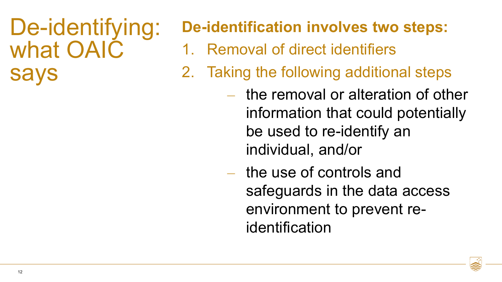## De-identifying: what OAIC says

### **De-identification involves two steps:**

- 1. Removal of direct identifiers
- 2. Taking the following additional steps
	- the removal or alteration of other information that could potentially be used to re-identify an individual, and/or
	- the use of controls and safeguards in the data access environment to prevent reidentification

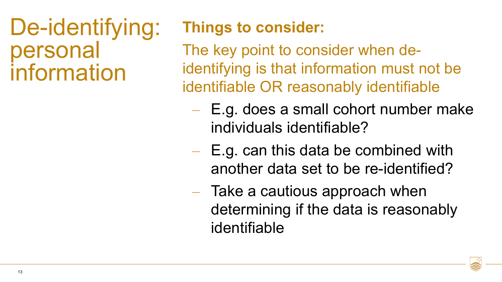## De-identifying: personal information

### **Things to consider:**

The key point to consider when deidentifying is that information must not be identifiable OR reasonably identifiable

- E.g. does a small cohort number make individuals identifiable?
- E.g. can this data be combined with another data set to be re-identified?
- Take a cautious approach when determining if the data is reasonably identifiable

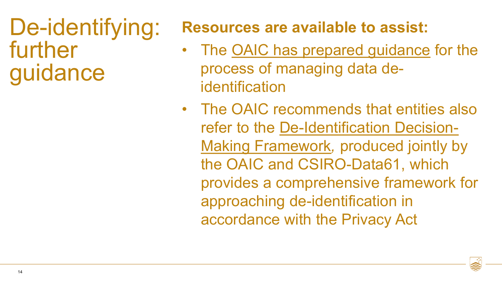De-identifying: further guidance

### **Resources are available to assist:**

- The [OAIC has prepared guidance](https://www.oaic.gov.au/privacy/guidance-and-advice/de-identification-and-the-privacy-act/) for the process of managing data deidentification
- The OAIC recommends that entities also refer to the [De-Identification Decision-](https://www.data61.csiro.au/en/Our-Research/Our-Work/Safety-and-Security/Privacy-Preservation/De-identification-Decision-Making-Framework)Making Framework*,* produced jointly by the OAIC and CSIRO-Data61, which provides a comprehensive framework for approaching de-identification in accordance with the Privacy Act

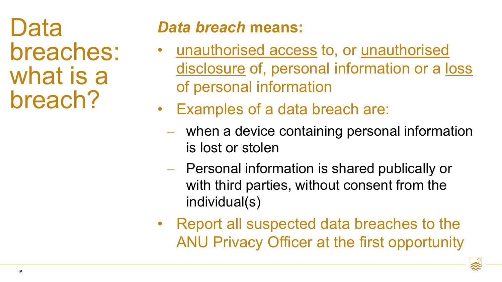Data breaches: what is a breach?

### *Data breach* **means:**

- unauthorised access to, or unauthorised disclosure of, personal information or a loss of personal information
- Examples of a data breach are:
	- when a device containing personal information is lost or stolen
	- Personal information is shared publically or with third parties, without consent from the individual(s)
- Report all suspected data breaches to the ANU Privacy Officer at the first opportunity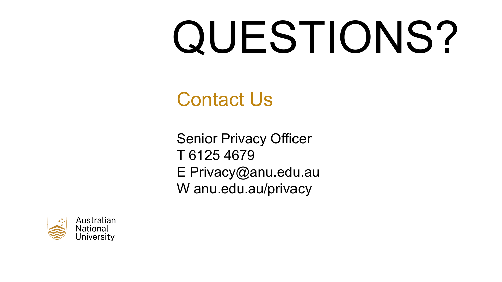# QUESTIONS?

Contact Us

Senior Privacy Officer T 6125 4679 E Privacy@anu.edu.au W anu.edu.au/privacy